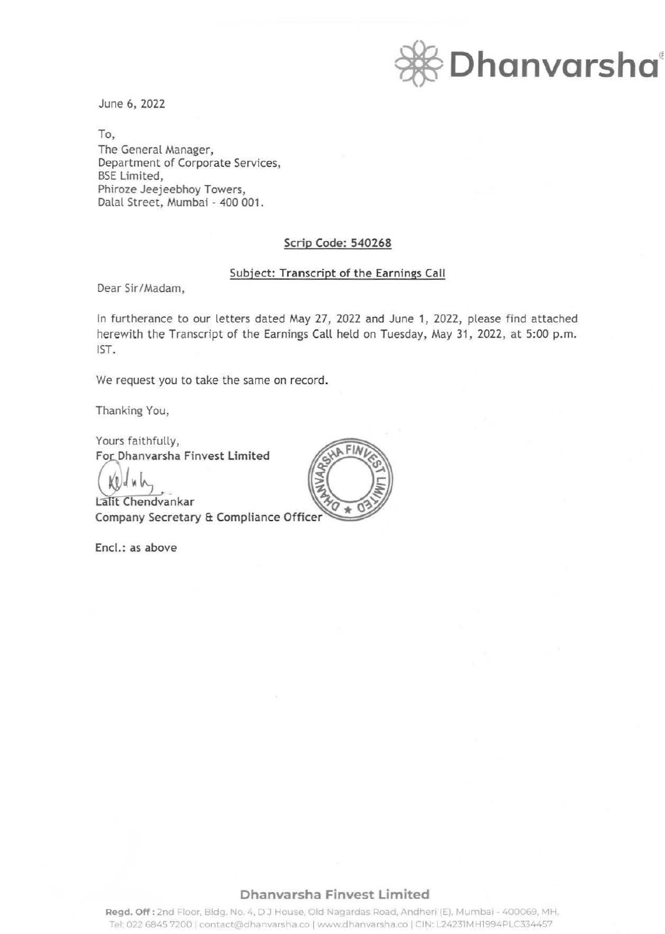

June 6, 2022

To, The General Manager, Department of Corporate Services, BSE Limited, Phiroze Jeejeebhoy Towers, Dalal Street, Mumbai - 400 001.

### Scrip Code: 540268

#### Subject: Transcript of the Earnings Call

Dear Sir/Madam,

In furtherance to our letters dated May 27, 2022 and June 1, 2022, please find attached herewith the Transcript of the Earnings Call held on Tuesday, May 31, 2022, at 5:00 p.m. 1ST.

We request you to take the same on record.

Thanking You,

Yours faithfully, **For Dhanvarsha Finvest Limited** 

Lalit Chendvankar Company Secretary & Compliance Offic

Encl.: as above



## **Dhanvarsha Finvest Limited**

Regd. Off: 2nd Floor, Bldg. No. 4, DJ House, Old Nagardas Road, Andheri (E), Mumbai - 400069, MH. Tel: 022 6845 7200 | contact@dhanvarsha.co | www.dhanvarsha.co | CIN: L24231MH1994PLC334457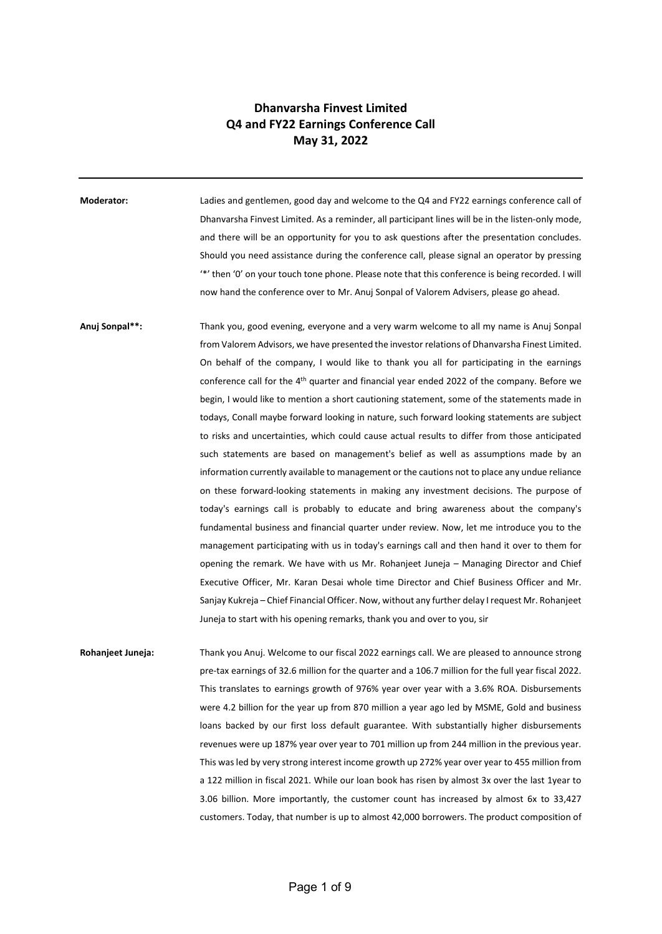# **Dhanvarsha Finvest Limited Q4 and FY22 Earnings Conference Call May 31, 2022**

**Moderator:** Ladies and gentlemen, good day and welcome to the Q4 and FY22 earnings conference call of Dhanvarsha Finvest Limited. As a reminder, all participant lines will be in the listen-only mode, and there will be an opportunity for you to ask questions after the presentation concludes. Should you need assistance during the conference call, please signal an operator by pressing '\*' then '0' on your touch tone phone. Please note that this conference is being recorded. I will now hand the conference over to Mr. Anuj Sonpal of Valorem Advisers, please go ahead.

**Anuj Sonpal\*\*:** Thank you, good evening, everyone and a very warm welcome to all my name is Anuj Sonpal from Valorem Advisors, we have presented the investor relations of Dhanvarsha Finest Limited. On behalf of the company, I would like to thank you all for participating in the earnings conference call for the 4th quarter and financial year ended 2022 of the company. Before we begin, I would like to mention a short cautioning statement, some of the statements made in todays, Conall maybe forward looking in nature, such forward looking statements are subject to risks and uncertainties, which could cause actual results to differ from those anticipated such statements are based on management's belief as well as assumptions made by an information currently available to management or the cautions not to place any undue reliance on these forward-looking statements in making any investment decisions. The purpose of today's earnings call is probably to educate and bring awareness about the company's fundamental business and financial quarter under review. Now, let me introduce you to the management participating with us in today's earnings call and then hand it over to them for opening the remark. We have with us Mr. Rohanjeet Juneja – Managing Director and Chief Executive Officer, Mr. Karan Desai whole time Director and Chief Business Officer and Mr. Sanjay Kukreja – Chief Financial Officer. Now, without any further delay I request Mr. Rohanjeet Juneja to start with his opening remarks, thank you and over to you, sir

**Rohanjeet Juneja:** Thank you Anuj. Welcome to our fiscal 2022 earnings call. We are pleased to announce strong pre-tax earnings of 32.6 million for the quarter and a 106.7 million for the full year fiscal 2022. This translates to earnings growth of 976% year over year with a 3.6% ROA. Disbursements were 4.2 billion for the year up from 870 million a year ago led by MSME, Gold and business loans backed by our first loss default guarantee. With substantially higher disbursements revenues were up 187% year over year to 701 million up from 244 million in the previous year. This was led by very strong interest income growth up 272% year over year to 455 million from a 122 million in fiscal 2021. While our loan book has risen by almost 3x over the last 1year to 3.06 billion. More importantly, the customer count has increased by almost 6x to 33,427 customers. Today, that number is up to almost 42,000 borrowers. The product composition of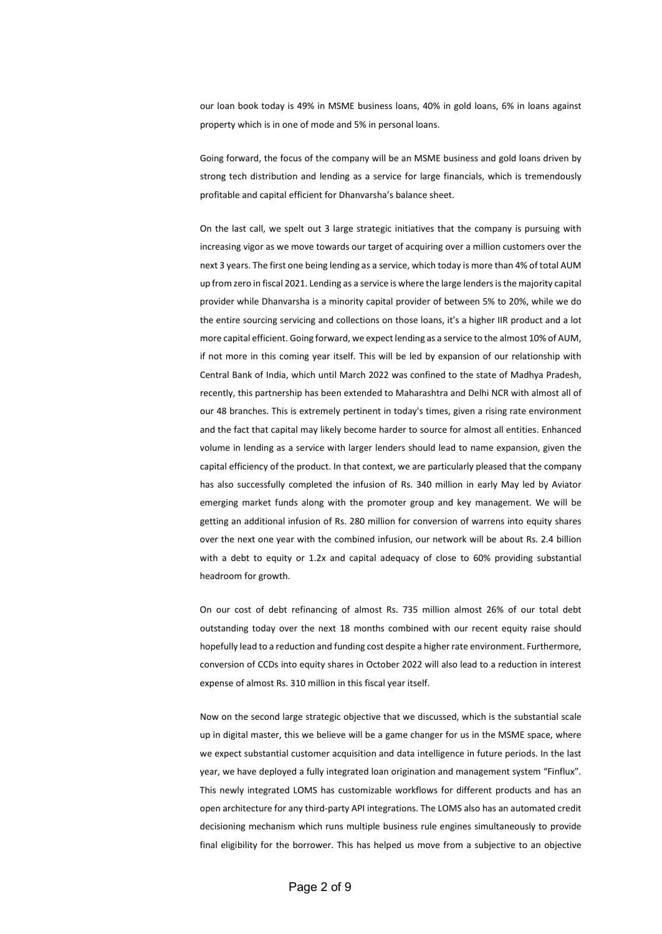our loan book today is 49% in MSME business loans, 40% in gold loans, 6% in loans against property which is in one of mode and 5% in personal loans.

Going forward, the focus of the company will be an MSME business and gold loans driven by strong tech distribution and lending as a service for large financials, which is tremendously profitable and capital efficient for Dhanvarsha's balance sheet.

On the last call, we spelt out 3 large strategic initiatives that the company is pursuing with increasing vigor as we move towards our target of acquiring over a million customers over the next 3 years. The first one being lending as a service, which today is more than 4% of total AUM up from zero in fiscal 2021. Lending as a service is where the large lenders is the majority capital provider while Dhanvarsha is a minority capital provider of between 5% to 20%, while we do the entire sourcing servicing and collections on those loans, it's a higher IIR product and a lot more capital efficient. Going forward, we expect lending as a service to the almost 10% of AUM, if not more in this coming year itself. This will be led by expansion of our relationship with Central Bank of India, which until March 2022 was confined to the state of Madhya Pradesh, recently, this partnership has been extended to Maharashtra and Delhi NCR with almost all of our 48 branches. This is extremely pertinent in today's times, given a rising rate environment and the fact that capital may likely become harder to source for almost all entities. Enhanced volume in lending as a service with larger lenders should lead to name expansion, given the capital efficiency of the product. In that context, we are particularly pleased that the company has also successfully completed the infusion of Rs. 340 million in early May led by Aviator emerging market funds along with the promoter group and key management. We will be getting an additional infusion of Rs. 280 million for conversion of warrens into equity shares over the next one year with the combined infusion, our network will be about Rs. 2.4 billion with a debt to equity or 1.2x and capital adequacy of close to 60% providing substantial headroom for growth.

On our cost of debt refinancing of almost Rs. 735 million almost 26% of our total debt outstanding today over the next 18 months combined with our recent equity raise should hopefully lead to a reduction and funding cost despite a higher rate environment. Furthermore, conversion of CCDs into equity shares in October 2022 will also lead to a reduction in interest expense of almost Rs. 310 million in this fiscal year itself.

Now on the second large strategic objective that we discussed, which is the substantial scale up in digital master, this we believe will be a game changer for us in the MSME space, where we expect substantial customer acquisition and data intelligence in future periods. In the last year, we have deployed a fully integrated loan origination and management system "Finflux". This newly integrated LOMS has customizable workflows for different products and has an open architecture for any third-party API integrations. The LOMS also has an automated credit decisioning mechanism which runs multiple business rule engines simultaneously to provide final eligibility for the borrower. This has helped us move from a subjective to an objective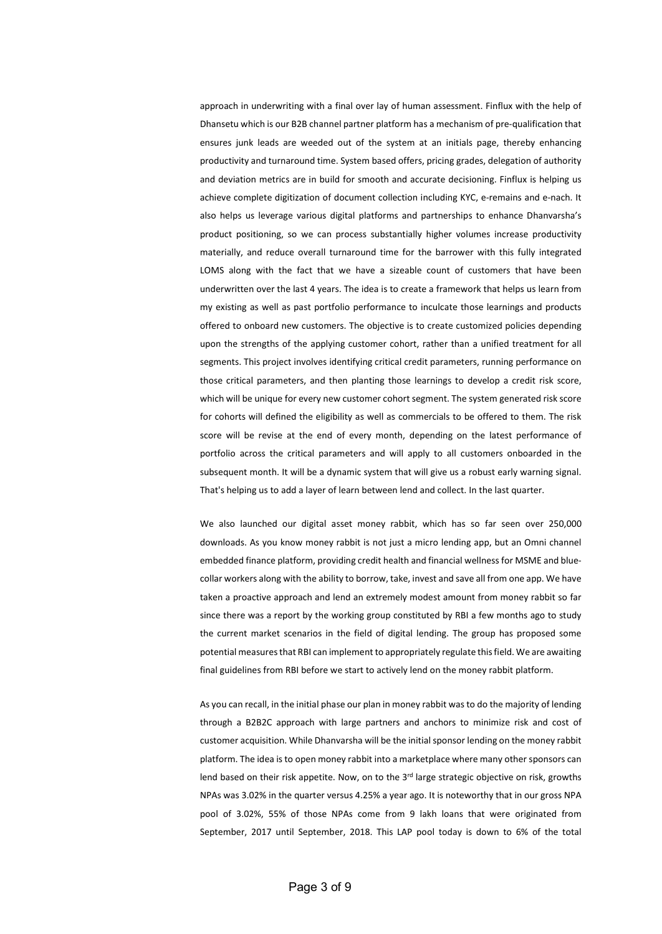approach in underwriting with a final over lay of human assessment. Finflux with the help of Dhansetu which is our B2B channel partner platform has a mechanism of pre-qualification that ensures junk leads are weeded out of the system at an initials page, thereby enhancing productivity and turnaround time. System based offers, pricing grades, delegation of authority and deviation metrics are in build for smooth and accurate decisioning. Finflux is helping us achieve complete digitization of document collection including KYC, e-remains and e-nach. It also helps us leverage various digital platforms and partnerships to enhance Dhanvarsha's product positioning, so we can process substantially higher volumes increase productivity materially, and reduce overall turnaround time for the barrower with this fully integrated LOMS along with the fact that we have a sizeable count of customers that have been underwritten over the last 4 years. The idea is to create a framework that helps us learn from my existing as well as past portfolio performance to inculcate those learnings and products offered to onboard new customers. The objective is to create customized policies depending upon the strengths of the applying customer cohort, rather than a unified treatment for all segments. This project involves identifying critical credit parameters, running performance on those critical parameters, and then planting those learnings to develop a credit risk score, which will be unique for every new customer cohort segment. The system generated risk score for cohorts will defined the eligibility as well as commercials to be offered to them. The risk score will be revise at the end of every month, depending on the latest performance of portfolio across the critical parameters and will apply to all customers onboarded in the subsequent month. It will be a dynamic system that will give us a robust early warning signal. That's helping us to add a layer of learn between lend and collect. In the last quarter.

We also launched our digital asset money rabbit, which has so far seen over 250,000 downloads. As you know money rabbit is not just a micro lending app, but an Omni channel embedded finance platform, providing credit health and financial wellness for MSME and bluecollar workers along with the ability to borrow, take, invest and save all from one app. We have taken a proactive approach and lend an extremely modest amount from money rabbit so far since there was a report by the working group constituted by RBI a few months ago to study the current market scenarios in the field of digital lending. The group has proposed some potential measures that RBI can implement to appropriately regulate this field. We are awaiting final guidelines from RBI before we start to actively lend on the money rabbit platform.

As you can recall, in the initial phase our plan in money rabbit was to do the majority of lending through a B2B2C approach with large partners and anchors to minimize risk and cost of customer acquisition. While Dhanvarsha will be the initial sponsor lending on the money rabbit platform. The idea is to open money rabbit into a marketplace where many other sponsors can lend based on their risk appetite. Now, on to the 3<sup>rd</sup> large strategic objective on risk, growths NPAs was 3.02% in the quarter versus 4.25% a year ago. It is noteworthy that in our gross NPA pool of 3.02%, 55% of those NPAs come from 9 lakh loans that were originated from September, 2017 until September, 2018. This LAP pool today is down to 6% of the total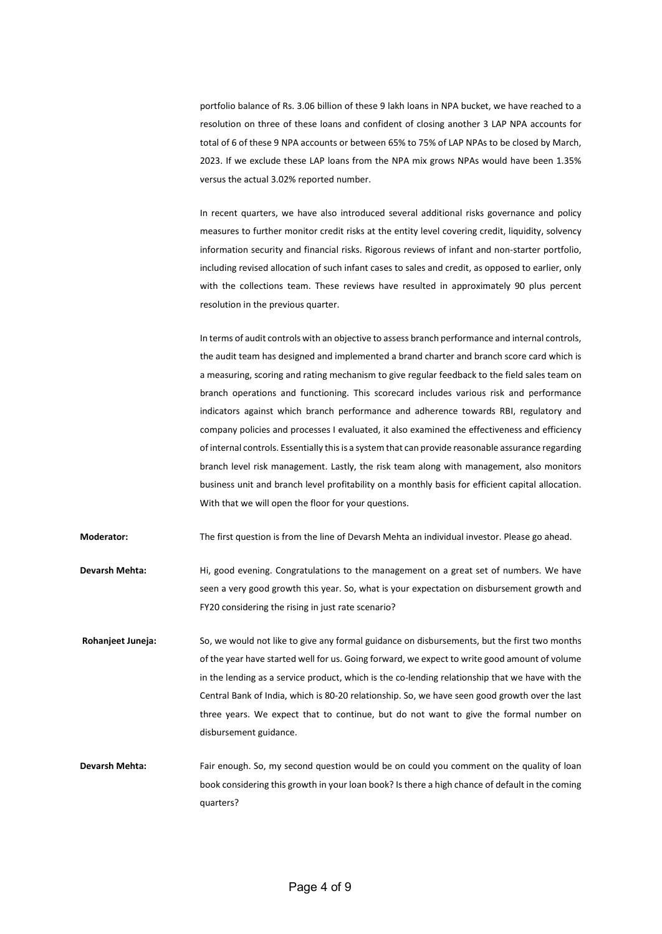portfolio balance of Rs. 3.06 billion of these 9 lakh loans in NPA bucket, we have reached to a resolution on three of these loans and confident of closing another 3 LAP NPA accounts for total of 6 of these 9 NPA accounts or between 65% to 75% of LAP NPAs to be closed by March, 2023. If we exclude these LAP loans from the NPA mix grows NPAs would have been 1.35% versus the actual 3.02% reported number.

In recent quarters, we have also introduced several additional risks governance and policy measures to further monitor credit risks at the entity level covering credit, liquidity, solvency information security and financial risks. Rigorous reviews of infant and non-starter portfolio, including revised allocation of such infant cases to sales and credit, as opposed to earlier, only with the collections team. These reviews have resulted in approximately 90 plus percent resolution in the previous quarter.

In terms of audit controls with an objective to assess branch performance and internal controls, the audit team has designed and implemented a brand charter and branch score card which is a measuring, scoring and rating mechanism to give regular feedback to the field sales team on branch operations and functioning. This scorecard includes various risk and performance indicators against which branch performance and adherence towards RBI, regulatory and company policies and processes I evaluated, it also examined the effectiveness and efficiency of internal controls. Essentially this is a system that can provide reasonable assurance regarding branch level risk management. Lastly, the risk team along with management, also monitors business unit and branch level profitability on a monthly basis for efficient capital allocation. With that we will open the floor for your questions.

**Moderator:** The first question is from the line of Devarsh Mehta an individual investor. Please go ahead.

- **Devarsh Mehta:** Hi, good evening. Congratulations to the management on a great set of numbers. We have seen a very good growth this year. So, what is your expectation on disbursement growth and FY20 considering the rising in just rate scenario?
- **Rohanjeet Juneja:** So, we would not like to give any formal guidance on disbursements, but the first two months of the year have started well for us. Going forward, we expect to write good amount of volume in the lending as a service product, which is the co-lending relationship that we have with the Central Bank of India, which is 80-20 relationship. So, we have seen good growth over the last three years. We expect that to continue, but do not want to give the formal number on disbursement guidance.
- **Devarsh Mehta:** Fair enough. So, my second question would be on could you comment on the quality of loan book considering this growth in your loan book? Is there a high chance of default in the coming quarters?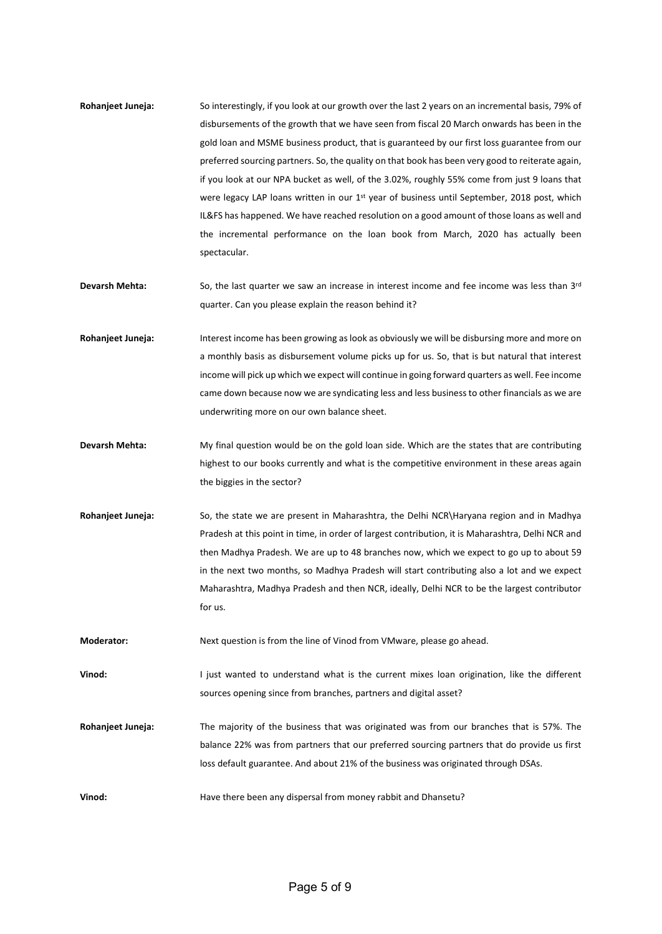- **Rohanjeet Juneja:** So interestingly, if you look at our growth over the last 2 years on an incremental basis, 79% of disbursements of the growth that we have seen from fiscal 20 March onwards has been in the gold loan and MSME business product, that is guaranteed by our first loss guarantee from our preferred sourcing partners. So, the quality on that book has been very good to reiterate again, if you look at our NPA bucket as well, of the 3.02%, roughly 55% come from just 9 loans that were legacy LAP loans written in our 1<sup>st</sup> year of business until September, 2018 post, which IL&FS has happened. We have reached resolution on a good amount of those loans as well and the incremental performance on the loan book from March, 2020 has actually been spectacular.
- **Devarsh Mehta:** So, the last quarter we saw an increase in interest income and fee income was less than 3rd quarter. Can you please explain the reason behind it?
- **Rohanjeet Juneja:** Interest income has been growing as look as obviously we will be disbursing more and more on a monthly basis as disbursement volume picks up for us. So, that is but natural that interest income will pick up which we expect will continue in going forward quarters as well. Fee income came down because now we are syndicating less and less business to other financials as we are underwriting more on our own balance sheet.
- **Devarsh Mehta:** My final question would be on the gold loan side. Which are the states that are contributing highest to our books currently and what is the competitive environment in these areas again the biggies in the sector?
- **Rohanjeet Juneja:** So, the state we are present in Maharashtra, the Delhi NCR\Haryana region and in Madhya Pradesh at this point in time, in order of largest contribution, it is Maharashtra, Delhi NCR and then Madhya Pradesh. We are up to 48 branches now, which we expect to go up to about 59 in the next two months, so Madhya Pradesh will start contributing also a lot and we expect Maharashtra, Madhya Pradesh and then NCR, ideally, Delhi NCR to be the largest contributor for us.
- **Moderator:** Next question is from the line of Vinod from VMware, please go ahead.

**Vinod:** I just wanted to understand what is the current mixes loan origination, like the different sources opening since from branches, partners and digital asset?

- **Rohanjeet Juneja:** The majority of the business that was originated was from our branches that is 57%. The balance 22% was from partners that our preferred sourcing partners that do provide us first loss default guarantee. And about 21% of the business was originated through DSAs.
- **Vinod:** Have there been any dispersal from money rabbit and Dhansetu?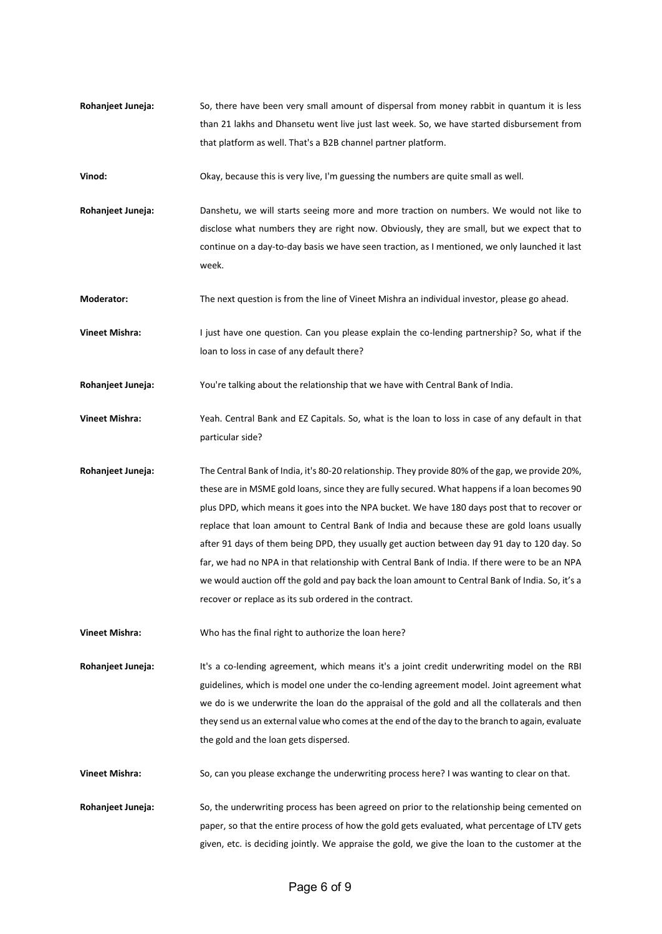- **Rohanjeet Juneja:** So, there have been very small amount of dispersal from money rabbit in quantum it is less than 21 lakhs and Dhansetu went live just last week. So, we have started disbursement from that platform as well. That's a B2B channel partner platform.
- **Vinod:** Okay, because this is very live, I'm guessing the numbers are quite small as well.
- **Rohanjeet Juneja:** Danshetu, we will starts seeing more and more traction on numbers. We would not like to disclose what numbers they are right now. Obviously, they are small, but we expect that to continue on a day-to-day basis we have seen traction, as I mentioned, we only launched it last week.

**Moderator:** The next question is from the line of Vineet Mishra an individual investor, please go ahead.

**Vineet Mishra:** I just have one question. Can you please explain the co-lending partnership? So, what if the loan to loss in case of any default there?

**Rohanjeet Juneja:** You're talking about the relationship that we have with Central Bank of India.

- **Vineet Mishra:** Yeah. Central Bank and EZ Capitals. So, what is the loan to loss in case of any default in that particular side?
- **Rohanjeet Juneja:** The Central Bank of India, it's 80-20 relationship. They provide 80% of the gap, we provide 20%, these are in MSME gold loans, since they are fully secured. What happens if a loan becomes 90 plus DPD, which means it goes into the NPA bucket. We have 180 days post that to recover or replace that loan amount to Central Bank of India and because these are gold loans usually after 91 days of them being DPD, they usually get auction between day 91 day to 120 day. So far, we had no NPA in that relationship with Central Bank of India. If there were to be an NPA we would auction off the gold and pay back the loan amount to Central Bank of India. So, it's a recover or replace as its sub ordered in the contract.

**Vineet Mishra:** Who has the final right to authorize the loan here?

**Rohanjeet Juneja:** It's a co-lending agreement, which means it's a joint credit underwriting model on the RBI guidelines, which is model one under the co-lending agreement model. Joint agreement what we do is we underwrite the loan do the appraisal of the gold and all the collaterals and then they send us an external value who comes at the end of the day to the branch to again, evaluate the gold and the loan gets dispersed.

**Vineet Mishra:** So, can you please exchange the underwriting process here? I was wanting to clear on that.

**Rohanjeet Juneja:** So, the underwriting process has been agreed on prior to the relationship being cemented on paper, so that the entire process of how the gold gets evaluated, what percentage of LTV gets given, etc. is deciding jointly. We appraise the gold, we give the loan to the customer at the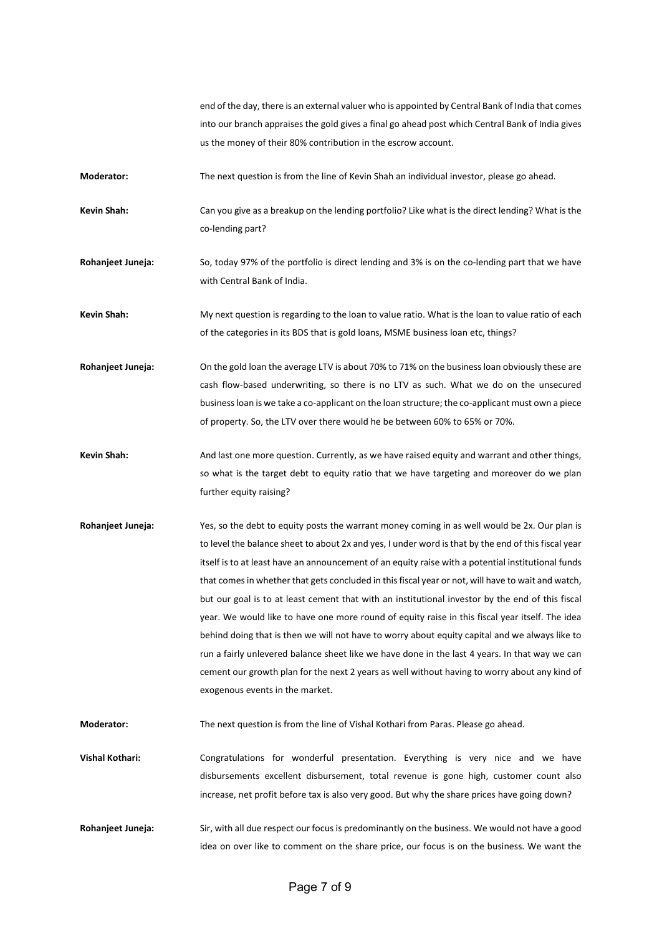end of the day, there is an external valuer who is appointed by Central Bank of India that comes into our branch appraises the gold gives a final go ahead post which Central Bank of India gives us the money of their 80% contribution in the escrow account.

**Moderator:** The next question is from the line of Kevin Shah an individual investor, please go ahead.

**Kevin Shah:** Can you give as a breakup on the lending portfolio? Like what is the direct lending? What is the co-lending part?

**Rohanjeet Juneja:** So, today 97% of the portfolio is direct lending and 3% is on the co-lending part that we have with Central Bank of India.

**Kevin Shah:** My next question is regarding to the loan to value ratio. What is the loan to value ratio of each of the categories in its BDS that is gold loans, MSME business loan etc, things?

**Rohanjeet Juneja:** On the gold loan the average LTV is about 70% to 71% on the business loan obviously these are cash flow-based underwriting, so there is no LTV as such. What we do on the unsecured business loan is we take a co-applicant on the loan structure; the co-applicant must own a piece of property. So, the LTV over there would he be between 60% to 65% or 70%.

**Kevin Shah:** And last one more question. Currently, as we have raised equity and warrant and other things, so what is the target debt to equity ratio that we have targeting and moreover do we plan further equity raising?

**Rohanjeet Juneja:** Yes, so the debt to equity posts the warrant money coming in as well would be 2x. Our plan is to level the balance sheet to about 2x and yes, I under word is that by the end of this fiscal year itself is to at least have an announcement of an equity raise with a potential institutional funds that comes in whether that gets concluded in this fiscal year or not, will have to wait and watch, but our goal is to at least cement that with an institutional investor by the end of this fiscal year. We would like to have one more round of equity raise in this fiscal year itself. The idea behind doing that is then we will not have to worry about equity capital and we always like to run a fairly unlevered balance sheet like we have done in the last 4 years. In that way we can cement our growth plan for the next 2 years as well without having to worry about any kind of exogenous events in the market.

**Moderator:** The next question is from the line of Vishal Kothari from Paras. Please go ahead.

**Vishal Kothari:** Congratulations for wonderful presentation. Everything is very nice and we have disbursements excellent disbursement, total revenue is gone high, customer count also increase, net profit before tax is also very good. But why the share prices have going down?

**Rohanjeet Juneja:** Sir, with all due respect our focus is predominantly on the business. We would not have a good idea on over like to comment on the share price, our focus is on the business. We want the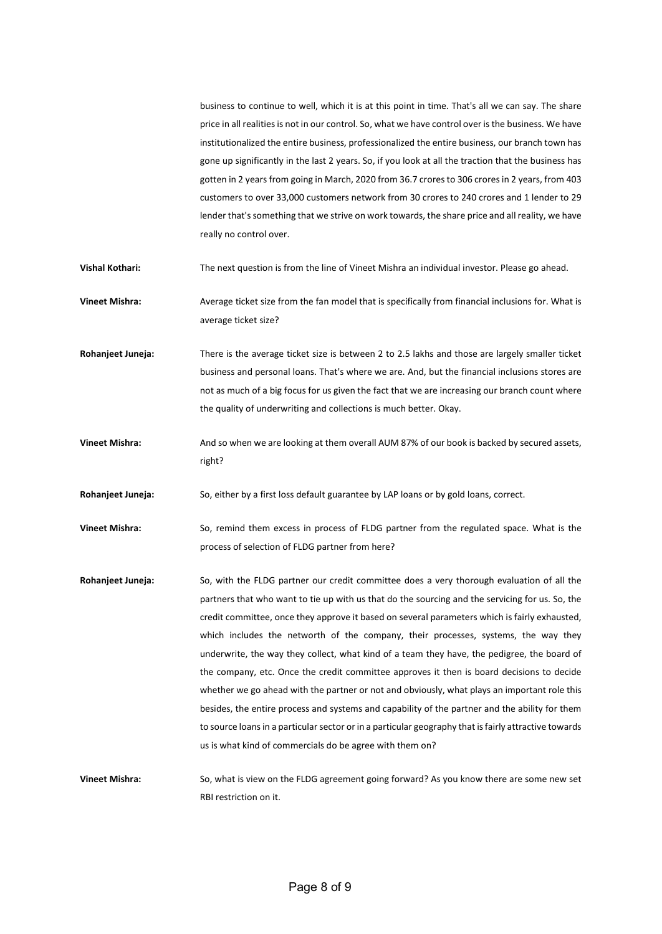business to continue to well, which it is at this point in time. That's all we can say. The share price in all realities is not in our control. So, what we have control over is the business. We have institutionalized the entire business, professionalized the entire business, our branch town has gone up significantly in the last 2 years. So, if you look at all the traction that the business has gotten in 2 years from going in March, 2020 from 36.7 crores to 306 crores in 2 years, from 403 customers to over 33,000 customers network from 30 crores to 240 crores and 1 lender to 29 lender that's something that we strive on work towards, the share price and all reality, we have really no control over.

**Vishal Kothari:** The next question is from the line of Vineet Mishra an individual investor. Please go ahead.

**Vineet Mishra:** Average ticket size from the fan model that is specifically from financial inclusions for. What is average ticket size?

**Rohanjeet Juneja:** There is the average ticket size is between 2 to 2.5 lakhs and those are largely smaller ticket business and personal loans. That's where we are. And, but the financial inclusions stores are not as much of a big focus for us given the fact that we are increasing our branch count where the quality of underwriting and collections is much better. Okay.

**Vineet Mishra:** And so when we are looking at them overall AUM 87% of our book is backed by secured assets, right?

**Rohanjeet Juneja:** So, either by a first loss default guarantee by LAP loans or by gold loans, correct.

**Vineet Mishra:** So, remind them excess in process of FLDG partner from the regulated space. What is the process of selection of FLDG partner from here?

**Rohanjeet Juneja:** So, with the FLDG partner our credit committee does a very thorough evaluation of all the partners that who want to tie up with us that do the sourcing and the servicing for us. So, the credit committee, once they approve it based on several parameters which is fairly exhausted, which includes the networth of the company, their processes, systems, the way they underwrite, the way they collect, what kind of a team they have, the pedigree, the board of the company, etc. Once the credit committee approves it then is board decisions to decide whether we go ahead with the partner or not and obviously, what plays an important role this besides, the entire process and systems and capability of the partner and the ability for them to source loans in a particular sector or in a particular geography that is fairly attractive towards us is what kind of commercials do be agree with them on?

**Vineet Mishra:** So, what is view on the FLDG agreement going forward? As you know there are some new set RBI restriction on it.